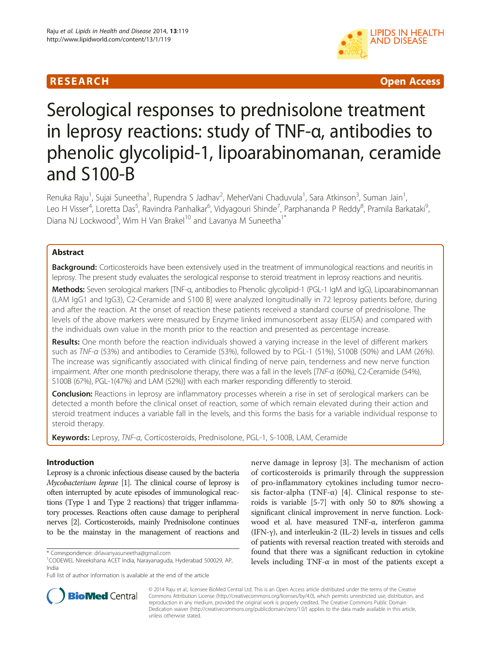## R E S EAR CH Open Access



# Serological responses to prednisolone treatment in leprosy reactions: study of TNF-α, antibodies to phenolic glycolipid-1, lipoarabinomanan, ceramide and S100-B

Renuka Raju<sup>1</sup>, Sujai Suneetha<sup>1</sup>, Rupendra S Jadhav<sup>2</sup>, MeherVani Chaduvula<sup>1</sup>, Sara Atkinson<sup>3</sup>, Suman Jain<sup>1</sup> , Leo H Visser<sup>4</sup>, Loretta Das<sup>5</sup>, Ravindra Panhalkar<sup>6</sup>, Vidyagouri Shinde<sup>7</sup>, Parphananda P Reddy<sup>8</sup>, Pramila Barkataki<sup>s</sup> , Diana NJ Lockwood<sup>3</sup>, Wim H Van Brakel<sup>10</sup> and Lavanya M Suneetha<sup>1\*</sup>

## Abstract

Background: Corticosteroids have been extensively used in the treatment of immunological reactions and neuritis in leprosy. The present study evaluates the serological response to steroid treatment in leprosy reactions and neuritis.

Methods: Seven serological markers [TNF-α, antibodies to Phenolic glycolipid-1 (PGL-1 IgM and IgG), Lipoarabinomannan (LAM IgG1 and IgG3), C2-Ceramide and S100 B] were analyzed longitudinally in 72 leprosy patients before, during and after the reaction. At the onset of reaction these patients received a standard course of prednisolone. The levels of the above markers were measured by Enzyme linked immunosorbent assay (ELISA) and compared with the individuals own value in the month prior to the reaction and presented as percentage increase.

Results: One month before the reaction individuals showed a varying increase in the level of different markers such as TNF-α (53%) and antibodies to Ceramide (53%), followed by to PGL-1 (51%), S100B (50%) and LAM (26%). The increase was significantly associated with clinical finding of nerve pain, tenderness and new nerve function impairment. After one month prednisolone therapy, there was a fall in the levels [TNF-α (60%), C2-Ceramide (54%), S100B (67%), PGL-1(47%) and LAM (52%)] with each marker responding differently to steroid.

Conclusion: Reactions in leprosy are inflammatory processes wherein a rise in set of serological markers can be detected a month before the clinical onset of reaction, some of which remain elevated during their action and steroid treatment induces a variable fall in the levels, and this forms the basis for a variable individual response to steroid therapy.

Keywords: Leprosy, TNF-α, Corticosteroids, Prednisolone, PGL-1, S-100B, LAM, Ceramide

## Introduction

Leprosy is a chronic infectious disease caused by the bacteria Mycobacterium leprae [\[1\]](#page-6-0). The clinical course of leprosy is often interrupted by acute episodes of immunological reactions (Type 1 and Type 2 reactions) that trigger inflammatory processes. Reactions often cause damage to peripheral nerves [\[2\]](#page-6-0). Corticosteroids, mainly Prednisolone continues to be the mainstay in the management of reactions and

nerve damage in leprosy [[3\]](#page-6-0). The mechanism of action of corticosteroids is primarily through the suppression of pro-inflammatory cytokines including tumor necrosis factor-alpha (TNF- $\alpha$ ) [\[4](#page-6-0)]. Clinical response to steroids is variable [\[5-7](#page-6-0)] with only 50 to 80% showing a significant clinical improvement in nerve function. Lockwood et al. have measured TNF-α, interferon gamma (IFN- $\gamma$ ), and interleukin-2 (IL-2) levels in tissues and cells of patients with reversal reaction treated with steroids and found that there was a significant reduction in cytokine levels including TNF-α in most of the patients except a



© 2014 Raju et al.; licensee BioMed Central Ltd. This is an Open Access article distributed under the terms of the Creative Commons Attribution License [\(http://creativecommons.org/licenses/by/4.0\)](http://creativecommons.org/licenses/by/4.0), which permits unrestricted use, distribution, and reproduction in any medium, provided the original work is properly credited. The Creative Commons Public Domain Dedication waiver [\(http://creativecommons.org/publicdomain/zero/1.0/](http://creativecommons.org/publicdomain/zero/1.0/)) applies to the data made available in this article, unless otherwise stated.

<sup>\*</sup> Correspondence: [drlavanyasuneetha@gmail.com](mailto:drlavanyasuneetha@gmail.com) <sup>1</sup>

CODEWEL Nireekshana ACET India, Narayanaguda, Hyderabad 500029, AP, India

Full list of author information is available at the end of the article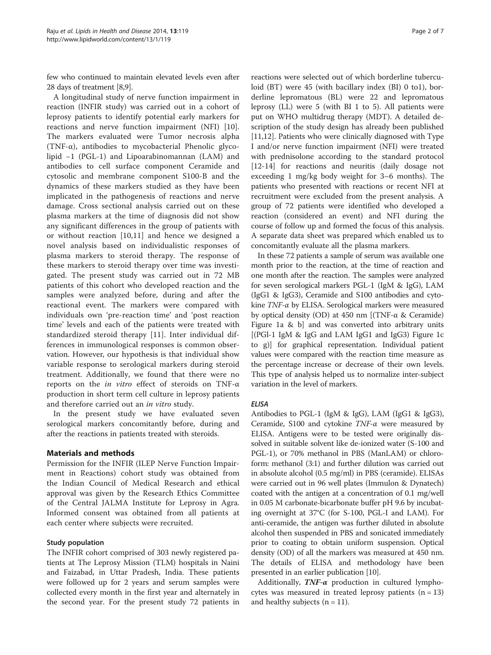few who continued to maintain elevated levels even after 28 days of treatment [\[8,9](#page-6-0)].

A longitudinal study of nerve function impairment in reaction (INFIR study) was carried out in a cohort of leprosy patients to identify potential early markers for reactions and nerve function impairment (NFI) [\[10](#page-6-0)]. The markers evaluated were Tumor necrosis alpha (TNF-α), antibodies to mycobacterial Phenolic glycolipid −1 (PGL-1) and Lipoarabinomannan (LAM) and antibodies to cell surface component Ceramide and cytosolic and membrane component S100-B and the dynamics of these markers studied as they have been implicated in the pathogenesis of reactions and nerve damage. Cross sectional analysis carried out on these plasma markers at the time of diagnosis did not show any significant differences in the group of patients with or without reaction [\[10,11](#page-6-0)] and hence we designed a novel analysis based on individualistic responses of plasma markers to steroid therapy. The response of these markers to steroid therapy over time was investigated. The present study was carried out in 72 MB patients of this cohort who developed reaction and the samples were analyzed before, during and after the reactional event. The markers were compared with individuals own 'pre-reaction time' and 'post reaction time' levels and each of the patients were treated with standardized steroid therapy [[11\]](#page-6-0). Inter individual differences in immunological responses is common observation. However, our hypothesis is that individual show variable response to serological markers during steroid treatment. Additionally, we found that there were no reports on the in vitro effect of steroids on TNF-α production in short term cell culture in leprosy patients and therefore carried out an in vitro study.

In the present study we have evaluated seven serological markers concomitantly before, during and after the reactions in patients treated with steroids.

## Materials and methods

Permission for the INFIR (ILEP Nerve Function Impairment in Reactions) cohort study was obtained from the Indian Council of Medical Research and ethical approval was given by the Research Ethics Committee of the Central JALMA Institute for Leprosy in Agra. Informed consent was obtained from all patients at each center where subjects were recruited.

## Study population

The INFIR cohort comprised of 303 newly registered patients at The Leprosy Mission (TLM) hospitals in Naini and Faizabad, in Uttar Pradesh, India. These patients were followed up for 2 years and serum samples were collected every month in the first year and alternately in the second year. For the present study 72 patients in

reactions were selected out of which borderline tuberculoid (BT) were 45 (with bacillary index (BI) 0 to1), borderline lepromatous (BL) were 22 and lepromatous leprosy (LL) were 5 (with BI 1 to 5). All patients were put on WHO multidrug therapy (MDT). A detailed description of the study design has already been published [[11,12\]](#page-6-0). Patients who were clinically diagnosed with Type I and/or nerve function impairment (NFI) were treated with prednisolone according to the standard protocol [[12-14](#page-6-0)] for reactions and neuritis (daily dosage not exceeding 1 mg/kg body weight for 3–6 months). The patients who presented with reactions or recent NFI at recruitment were excluded from the present analysis. A group of 72 patients were identified who developed a reaction (considered an event) and NFI during the course of follow up and formed the focus of this analysis. A separate data sheet was prepared which enabled us to concomitantly evaluate all the plasma markers.

In these 72 patients a sample of serum was available one month prior to the reaction, at the time of reaction and one month after the reaction. The samples were analyzed for seven serological markers PGL-1 (IgM & IgG), LAM (IgG1 & IgG3), Ceramide and S100 antibodies and cytokine TNF-α by ELISA. Serological markers were measured by optical density (OD) at 450 nm [(TNF-α & Ceramide) Figure [1a](#page-2-0) & b] and was converted into arbitrary units [(PGl-1 IgM & IgG and LAM IgG1 and IgG3) Figure [1](#page-2-0)c to g)] for graphical representation. Individual patient values were compared with the reaction time measure as the percentage increase or decrease of their own levels. This type of analysis helped us to normalize inter-subject variation in the level of markers.

## **FLISA**

Antibodies to PGL-1 (IgM & IgG), LAM (IgG1 & IgG3), Ceramide, S100 and cytokine TNF-α were measured by ELISA. Antigens were to be tested were originally dissolved in suitable solvent like de-ionized water (S-100 and PGL-1), or 70% methanol in PBS (ManLAM) or chloroform: methanol (3:1) and further dilution was carried out in absolute alcohol (0.5 mg/ml) in PBS (ceramide). ELISAs were carried out in 96 well plates (Immulon & Dynatech) coated with the antigen at a concentration of 0.1 mg/well in 0.05 M carbonate-bicarbonate buffer pH 9.6 by incubating overnight at 37°C (for S-100, PGL-I and LAM). For anti-ceramide, the antigen was further diluted in absolute alcohol then suspended in PBS and sonicated immediately prior to coating to obtain uniform suspension. Optical density (OD) of all the markers was measured at 450 nm. The details of ELISA and methodology have been presented in an earlier publication [\[10\]](#page-6-0).

Additionally,  $TNF-\alpha$  production in cultured lymphocytes was measured in treated leprosy patients  $(n = 13)$ and healthy subjects  $(n = 11)$ .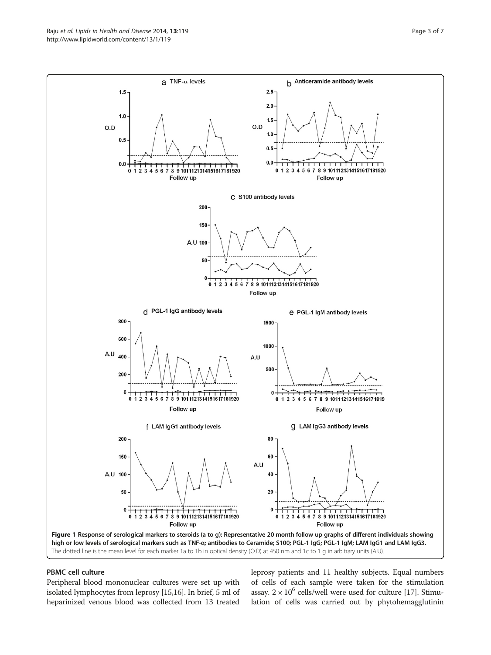<span id="page-2-0"></span>

## PBMC cell culture

Peripheral blood mononuclear cultures were set up with isolated lymphocytes from leprosy [[15](#page-6-0),[16](#page-6-0)]. In brief, 5 ml of heparinized venous blood was collected from 13 treated

leprosy patients and 11 healthy subjects. Equal numbers of cells of each sample were taken for the stimulation assay.  $2 \times 10^6$  cells/well were used for culture [\[17\]](#page-6-0). Stimulation of cells was carried out by phytohemagglutinin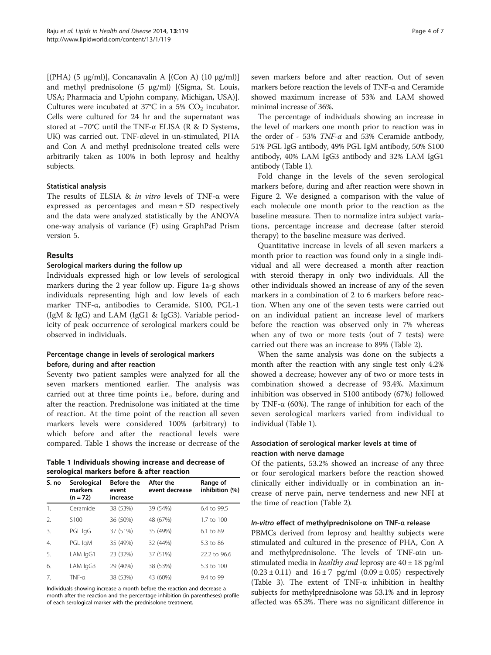<span id="page-3-0"></span> $[(PHA) (5 μg/ml)],$  Concanavalin A  $[(Con A) (10 μg/ml)]$ and methyl prednisolone (5 μg/ml) [(Sigma, St. Louis, USA; Pharmacia and Upjohn company, Michigan, USA)]. Cultures were incubated at  $37^{\circ}$ C in a 5% CO<sub>2</sub> incubator. Cells were cultured for 24 hr and the supernatant was stored at −70°C until the TNF-α ELISA (R & D Systems, UK) was carried out. TNF-αlevel in un-stimulated, PHA and Con A and methyl prednisolone treated cells were arbitrarily taken as 100% in both leprosy and healthy subjects.

## Statistical analysis

The results of ELSIA & in vitro levels of TNF-α were expressed as percentages and mean ± SD respectively and the data were analyzed statistically by the ANOVA one-way analysis of variance (F) using GraphPad Prism version 5.

## Results

## Serological markers during the follow up

Individuals expressed high or low levels of serological markers during the 2 year follow up. Figure [1](#page-2-0)a-g shows individuals representing high and low levels of each marker TNF-α, antibodies to Ceramide, S100, PGL-1 (IgM & IgG) and LAM (IgG1 & IgG3). Variable periodicity of peak occurrence of serological markers could be observed in individuals.

## Percentage change in levels of serological markers before, during and after reaction

Seventy two patient samples were analyzed for all the seven markers mentioned earlier. The analysis was carried out at three time points i.e., before, during and after the reaction. Prednisolone was initiated at the time of reaction. At the time point of the reaction all seven markers levels were considered 100% (arbitrary) to which before and after the reactional levels were compared. Table 1 shows the increase or decrease of the

Table 1 Individuals showing increase and decrease of serological markers before & after reaction

| S. no            | Serological<br>markers<br>$(n = 72)$ | <b>Before the</b><br>event<br>increase | After the<br>event decrease | Range of<br>inhibition (%) |  |  |
|------------------|--------------------------------------|----------------------------------------|-----------------------------|----------------------------|--|--|
| 1.               | Ceramide                             | 38 (53%)                               | 39 (54%)                    | 6.4 to 99.5                |  |  |
| $\mathfrak{D}$   | S100                                 | 36 (50%)                               | 48 (67%)                    | 1.7 to 100                 |  |  |
| 3.               | PGL IgG                              | 37 (51%)                               | 35 (49%)                    | 6.1 to 89                  |  |  |
| $\overline{4}$ . | PGL IgM                              | 35 (49%)                               | 32 (44%)                    | 5.3 to 86                  |  |  |
| 5.               | LAM IgG1                             | 23 (32%)                               | 37 (51%)                    | 22.2 to 96.6               |  |  |
| 6.               | LAM IgG3                             | 29 (40%)                               | 38 (53%)                    | 5.3 to 100                 |  |  |
| 7.               | $TNF-\alpha$                         | 38 (53%)                               | 43 (60%)                    | 9.4 to 99                  |  |  |

Individuals showing increase a month before the reaction and decrease a month after the reaction and the percentage inhibition (in parentheses) profile of each serological marker with the prednisolone treatment.

seven markers before and after reaction. Out of seven markers before reaction the levels of TNF-α and Ceramide showed maximum increase of 53% and LAM showed minimal increase of 36%.

The percentage of individuals showing an increase in the level of markers one month prior to reaction was in the order of - 53%  $TNF-\alpha$  and 53% Ceramide antibody, 51% PGL IgG antibody, 49% PGL IgM antibody, 50% S100 antibody, 40% LAM IgG3 antibody and 32% LAM IgG1 antibody (Table 1).

Fold change in the levels of the seven serological markers before, during and after reaction were shown in Figure [2.](#page-4-0) We designed a comparison with the value of each molecule one month prior to the reaction as the baseline measure. Then to normalize intra subject variations, percentage increase and decrease (after steroid therapy) to the baseline measure was derived.

Quantitative increase in levels of all seven markers a month prior to reaction was found only in a single individual and all were decreased a month after reaction with steroid therapy in only two individuals. All the other individuals showed an increase of any of the seven markers in a combination of 2 to 6 markers before reaction. When any one of the seven tests were carried out on an individual patient an increase level of markers before the reaction was observed only in 7% whereas when any of two or more tests (out of 7 tests) were carried out there was an increase to 89% (Table [2](#page-4-0)).

When the same analysis was done on the subjects a month after the reaction with any single test only 4.2% showed a decrease; however any of two or more tests in combination showed a decrease of 93.4%. Maximum inhibition was observed in S100 antibody (67%) followed by TNF-α (60%). The range of inhibition for each of the seven serological markers varied from individual to individual (Table 1).

## Association of serological marker levels at time of reaction with nerve damage

Of the patients, 53.2% showed an increase of any three or four serological markers before the reaction showed clinically either individually or in combination an increase of nerve pain, nerve tenderness and new NFI at the time of reaction (Table [2\)](#page-4-0).

## In-vitro effect of methylprednisolone on TNF-α release

PBMCs derived from leprosy and healthy subjects were stimulated and cultured in the presence of PHA, Con A and methylprednisolone. The levels of TNF-αin unstimulated media in *healthy and* leprosy are  $40 \pm 18$  pg/ml  $(0.23 \pm 0.11)$  and  $16 \pm 7$  pg/ml  $(0.09 \pm 0.05)$  respectively (Table [3](#page-5-0)). The extent of TNF- $\alpha$  inhibition in healthy subjects for methylprednisolone was 53.1% and in leprosy affected was 65.3%. There was no significant difference in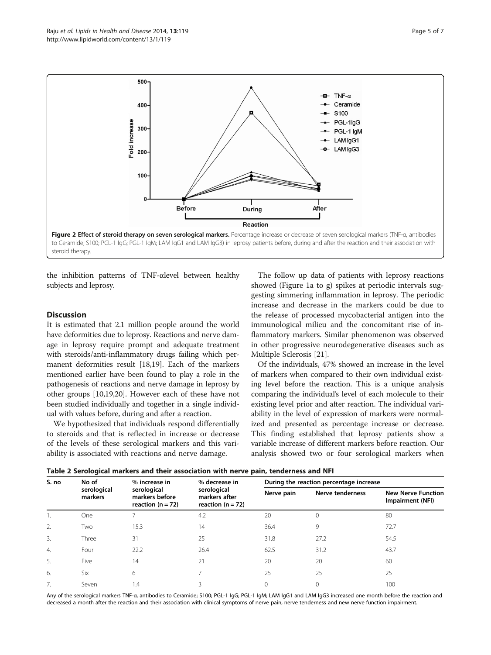<span id="page-4-0"></span>

steroid therapy.

the inhibition patterns of TNF-αlevel between healthy subjects and leprosy.

## **Discussion**

It is estimated that 2.1 million people around the world have deformities due to leprosy. Reactions and nerve damage in leprosy require prompt and adequate treatment with steroids/anti-inflammatory drugs failing which permanent deformities result [\[18,19\]](#page-6-0). Each of the markers mentioned earlier have been found to play a role in the pathogenesis of reactions and nerve damage in leprosy by other groups [[10,19,20\]](#page-6-0). However each of these have not been studied individually and together in a single individual with values before, during and after a reaction.

We hypothesized that individuals respond differentially to steroids and that is reflected in increase or decrease of the levels of these serological markers and this variability is associated with reactions and nerve damage.

The follow up data of patients with leprosy reactions showed (Figure [1](#page-2-0)a to g) spikes at periodic intervals suggesting simmering inflammation in leprosy. The periodic increase and decrease in the markers could be due to the release of processed mycobacterial antigen into the immunological milieu and the concomitant rise of inflammatory markers. Similar phenomenon was observed in other progressive neurodegenerative diseases such as Multiple Sclerosis [\[21\]](#page-6-0).

Of the individuals, 47% showed an increase in the level of markers when compared to their own individual existing level before the reaction. This is a unique analysis comparing the individual's level of each molecule to their existing level prior and after reaction. The individual variability in the level of expression of markers were normalized and presented as percentage increase or decrease. This finding established that leprosy patients show a variable increase of different markers before reaction. Our analysis showed two or four serological markers when

| S. no | No of<br>serological<br>markers | % increase in<br>serological<br>markers before<br>reaction $(n = 72)$ | % decrease in<br>serological<br>markers after<br>reaction $(n = 72)$ | During the reaction percentage increase |                  |                                               |
|-------|---------------------------------|-----------------------------------------------------------------------|----------------------------------------------------------------------|-----------------------------------------|------------------|-----------------------------------------------|
|       |                                 |                                                                       |                                                                      | Nerve pain                              | Nerve tenderness | <b>New Nerve Function</b><br>Impairment (NFI) |
|       | One                             |                                                                       | 4.2                                                                  | 20                                      |                  | 80                                            |
| 2.    | Two                             | 15.3                                                                  | 14                                                                   | 36.4                                    |                  | 72.7                                          |
|       | Three                           | 31                                                                    |                                                                      | 31.8                                    | 27.2             | 54.5                                          |

4. Four 22.2 26.4 62.5 31.2 43.7 5. Five 14 21 20 20 20 60 6. Six 6 7 25 25 25 7. Seven 1.4 3 0 0 100

Any of the serological markers TNF-α, antibodies to Ceramide; S100; PGL-1 IgG; PGL-1 IgM; LAM IgG1 and LAM IgG3 increased one month before the reaction and decreased a month after the reaction and their association with clinical symptoms of nerve pain, nerve tenderness and new nerve function impairment.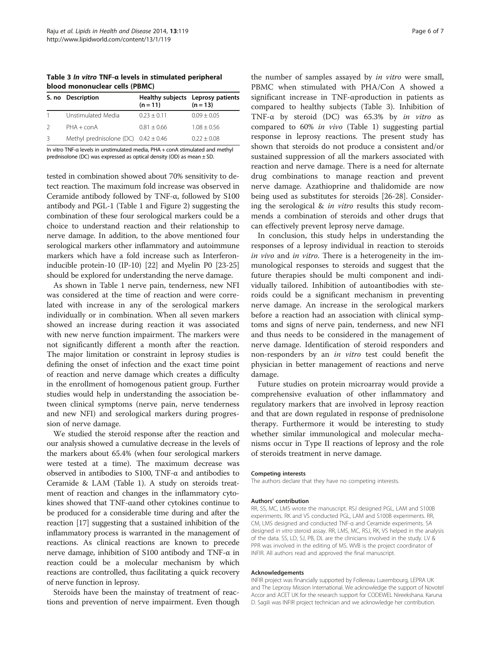<span id="page-5-0"></span>Table 3 In vitro TNF-α levels in stimulated peripheral blood mononuclear cells (PBMC)

|   | S. no Description                        | $(n = 11)$    | Healthy subjects Leprosy patients<br>$(n = 13)$ |
|---|------------------------------------------|---------------|-------------------------------------------------|
|   | Unstimulated Media                       | $0.23 + 0.11$ | $0.09 + 0.05$                                   |
| 2 | $PHA + conA$                             | $0.81 + 0.66$ | $1.08 + 0.56$                                   |
| Κ | Methyl prednisolone (DC) $0.42 \pm 0.46$ |               | $0.22 + 0.08$                                   |

In vitro TNF-α levels in unstimulated media, PHA + conA stimulated and methyl prednisolone (DC) was expressed as optical density (OD) as mean ± SD.

tested in combination showed about 70% sensitivity to detect reaction. The maximum fold increase was observed in Ceramide antibody followed by TNF-α, followed by S100 antibody and PGL-1 (Table [1](#page-3-0) and Figure [2](#page-4-0)) suggesting the combination of these four serological markers could be a choice to understand reaction and their relationship to nerve damage. In addition, to the above mentioned four serological markers other inflammatory and autoimmune markers which have a fold increase such as Interferoninducible protein-10 (IP-10) [\[22\]](#page-6-0) and Myelin P0 [[23](#page-6-0)-[25](#page-6-0)] should be explored for understanding the nerve damage.

As shown in Table [1](#page-3-0) nerve pain, tenderness, new NFI was considered at the time of reaction and were correlated with increase in any of the serological markers individually or in combination. When all seven markers showed an increase during reaction it was associated with new nerve function impairment. The markers were not significantly different a month after the reaction. The major limitation or constraint in leprosy studies is defining the onset of infection and the exact time point of reaction and nerve damage which creates a difficulty in the enrollment of homogenous patient group. Further studies would help in understanding the association between clinical symptoms (nerve pain, nerve tenderness and new NFI) and serological markers during progression of nerve damage.

We studied the steroid response after the reaction and our analysis showed a cumulative decrease in the levels of the markers about 65.4% (when four serological markers were tested at a time). The maximum decrease was observed in antibodies to S100, TNF-α and antibodies to Ceramide & LAM (Table [1\)](#page-3-0). A study on steroids treatment of reaction and changes in the inflammatory cytokines showed that TNF-αand other cytokines continue to be produced for a considerable time during and after the reaction [[17](#page-6-0)] suggesting that a sustained inhibition of the inflammatory process is warranted in the management of reactions. As clinical reactions are known to precede nerve damage, inhibition of S100 antibody and TNF-α in reaction could be a molecular mechanism by which reactions are controlled, thus facilitating a quick recovery of nerve function in leprosy.

Steroids have been the mainstay of treatment of reactions and prevention of nerve impairment. Even though

the number of samples assayed by in vitro were small, PBMC when stimulated with PHA/Con A showed a significant increase in TNF-αproduction in patients as compared to healthy subjects (Table 3). Inhibition of TNF- $\alpha$  by steroid (DC) was 65.3% by in vitro as compared to 60% in vivo (Table [1](#page-3-0)) suggesting partial response in leprosy reactions. The present study has shown that steroids do not produce a consistent and/or sustained suppression of all the markers associated with reaction and nerve damage. There is a need for alternate drug combinations to manage reaction and prevent nerve damage. Azathioprine and thalidomide are now being used as substitutes for steroids [\[26-28](#page-6-0)]. Considering the serological & in vitro results this study recommends a combination of steroids and other drugs that can effectively prevent leprosy nerve damage.

In conclusion, this study helps in understanding the responses of a leprosy individual in reaction to steroids in vivo and in vitro. There is a heterogeneity in the immunological responses to steroids and suggest that the future therapies should be multi component and individually tailored. Inhibition of autoantibodies with steroids could be a significant mechanism in preventing nerve damage. An increase in the serological markers before a reaction had an association with clinical symptoms and signs of nerve pain, tenderness, and new NFI and thus needs to be considered in the management of nerve damage. Identification of steroid responders and non-responders by an in vitro test could benefit the physician in better management of reactions and nerve damage.

Future studies on protein microarray would provide a comprehensive evaluation of other inflammatory and regulatory markers that are involved in leprosy reaction and that are down regulated in response of prednisolone therapy. Furthermore it would be interesting to study whether similar immunological and molecular mechanisms occur in Type II reactions of leprosy and the role of steroids treatment in nerve damage.

#### Competing interests

The authors declare that they have no competing interests.

#### Authors' contribution

RR, SS, MC, LMS wrote the manuscript. RSJ designed PGL, LAM and S100B experiments. RK and VS conducted PGL, LAM and S100B experiments. RR, CM, LMS designed and conducted TNF-α and Ceramide experiments. SA designed in vitro steroid assay. RR, LMS, MC, RSJ, RK, VS helped in the analysis of the data. SS, LD, SJ, PB, DL are the clinicians involved in the study. LV & PPR was involved in the editing of MS. WVB is the project coordinator of INFIR. All authors read and approved the final manuscript.

#### Acknowledgements

INFIR project was financially supported by Follereau Luxembourg, LEPRA UK and The Leprosy Mission International. We acknowledge the support of Novotel Accor and ACET UK for the research support for CODEWEL Nireekshana. Karuna D. Sagili was INFIR project technician and we acknowledge her contribution.